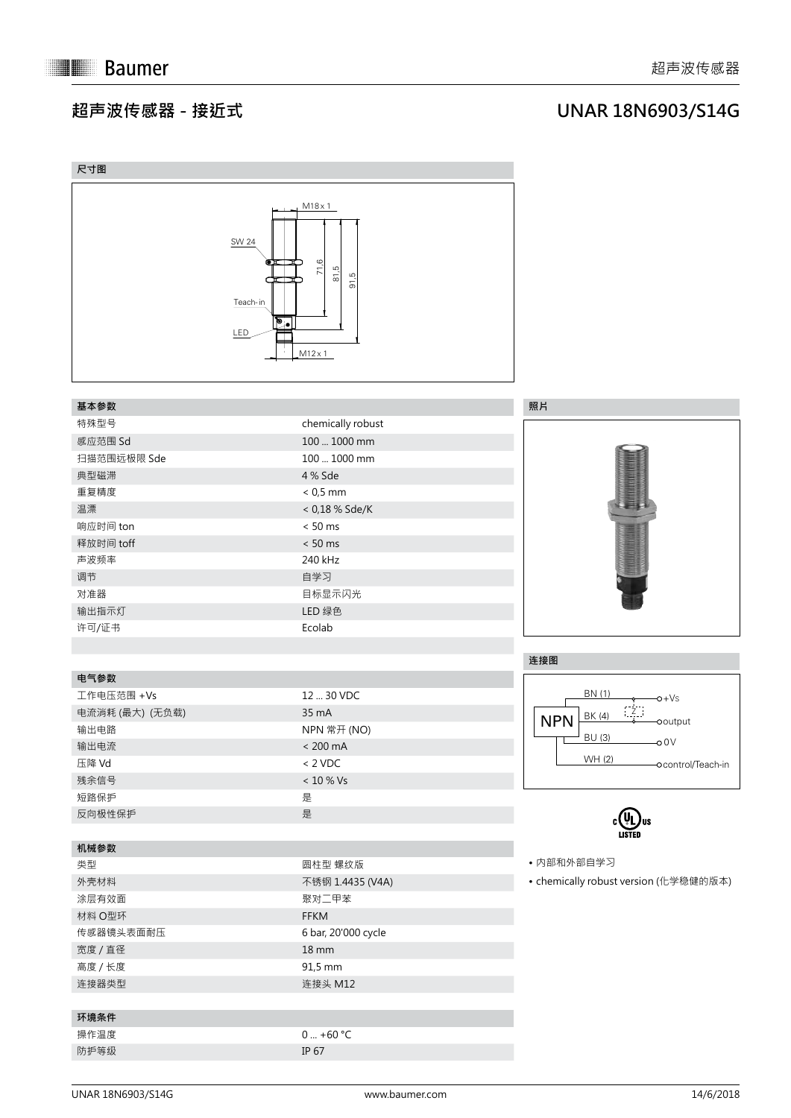## **超声波传感器 - 接近式**

## **UNAR 18N6903/S14G**

| 尺寸图             |                                                                                                                              |                                       |
|-----------------|------------------------------------------------------------------------------------------------------------------------------|---------------------------------------|
|                 | $M18 \times 1$<br><b>SW 24</b><br>71,6<br>Œ<br>75<br>81.5<br>91,5<br>Teach-in<br>$\overline{\mathbb{P}}$ .<br>LED<br>M12 x 1 |                                       |
| 基本参数            |                                                                                                                              | 照片                                    |
| 特殊型号            | chemically robust                                                                                                            |                                       |
| 感应范围 Sd         | 100  1000 mm                                                                                                                 |                                       |
| 扫描范围远极限 Sde     | 100  1000 mm                                                                                                                 |                                       |
| 典型磁滞            | 4 % Sde                                                                                                                      |                                       |
| 重复精度            | $< 0.5$ mm                                                                                                                   | <b>DELL'INSTRUCCIONALIST</b>          |
| 温漂              | < 0,18 % Sde/K                                                                                                               |                                       |
| 响应时间 ton        | $< 50$ ms                                                                                                                    |                                       |
| 释放时间 toff       | $< 50$ ms                                                                                                                    | <b>TELEVISION NEWSFILM</b>            |
| 声波频率            | 240 kHz                                                                                                                      |                                       |
| 调节              | 自学习                                                                                                                          |                                       |
| 对准器             | 目标显示闪光                                                                                                                       |                                       |
| 输出指示灯           | LED 绿色                                                                                                                       |                                       |
| 许可/证书           | Ecolab                                                                                                                       |                                       |
|                 |                                                                                                                              |                                       |
|                 |                                                                                                                              | 连接图                                   |
| 电气参数            |                                                                                                                              |                                       |
| 工作电压范围 +Vs      | 12  30 VDC                                                                                                                   | BN (1)<br>$-0+Vs$                     |
| 电流消耗 (最大) (无负载) | 35 mA                                                                                                                        | BK (4)<br><b>NPN</b><br>ooutput       |
| 输出电路            | NPN 常开 (NO)                                                                                                                  | <b>BU (3)</b><br>$-0.0V$              |
| 输出电流            | $< 200 \text{ mA}$                                                                                                           | <b>WH(2)</b>                          |
| 压降 Vd           | $< 2$ VDC                                                                                                                    | -ocontrol/Teach-in                    |
| 残余信号            | $<10$ % Vs                                                                                                                   |                                       |
| 短路保护            | 是                                                                                                                            |                                       |
| 反向极性保护          | 是                                                                                                                            |                                       |
| 机械参数            |                                                                                                                              | LISTED                                |
| 类型              | 圆柱型 螺纹版                                                                                                                      | • 内部和外部自学习                            |
| 外壳材料            | 不锈钢 1.4435 (V4A)                                                                                                             | • chemically robust version (化学稳健的版本) |
| 涂层有效面           | 聚对二甲苯                                                                                                                        |                                       |
| 材料 O型环          | FFKM                                                                                                                         |                                       |
| 传感器镜头表面耐压       | 6 bar, 20'000 cycle                                                                                                          |                                       |
| 宽度 / 直径         | $18 \, \text{mm}$                                                                                                            |                                       |
| 高度 / 长度         | 91,5 mm                                                                                                                      |                                       |
| 连接器类型           | 连接头 M12                                                                                                                      |                                       |
| 环境条件            |                                                                                                                              |                                       |
| 操作温度            | $0  +60 °C$                                                                                                                  |                                       |
| 防护等级            | IP 67                                                                                                                        |                                       |
|                 |                                                                                                                              |                                       |